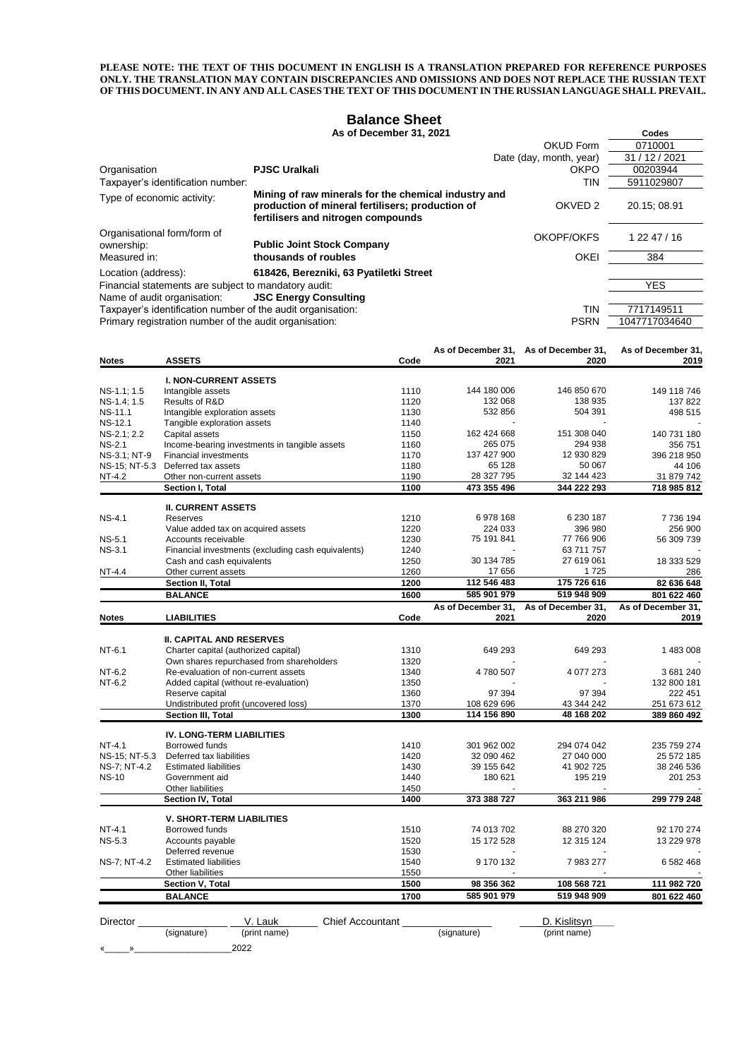**PLEASE NOTE: THE TEXT OF THIS DOCUMENT IN ENGLISH IS A TRANSLATION PREPARED FOR REFERENCE PURPOSES ONLY. THE TRANSLATION MAY CONTAIN DISCREPANCIES AND OMISSIONS AND DOES NOT REPLACE THE RUSSIAN TEXT OF THIS DOCUMENT. IN ANY AND ALL CASES THE TEXT OF THIS DOCUMENT IN THE RUSSIAN LANGUAGE SHALL PREVAIL.**

#### **Balance Sheet**

### **As of December 31, 2021 Codes**

|                                                             |                                                                                                                                                | <b>OKUD Form</b>        | 0710001        |
|-------------------------------------------------------------|------------------------------------------------------------------------------------------------------------------------------------------------|-------------------------|----------------|
|                                                             |                                                                                                                                                | Date (day, month, year) | 31 / 12 / 2021 |
| Organisation                                                | <b>PJSC Uralkali</b>                                                                                                                           | <b>OKPO</b>             | 00203944       |
| Taxpayer's identification number:                           |                                                                                                                                                | tin                     | 5911029807     |
| Type of economic activity:                                  | Mining of raw minerals for the chemical industry and<br>production of mineral fertilisers; production of<br>fertilisers and nitrogen compounds | OKVED <sub>2</sub>      | 20.15: 08.91   |
| Organisational form/form of<br>ownership:                   | <b>Public Joint Stock Company</b>                                                                                                              | OKOPF/OKFS              | 1 22 47 / 16   |
| Measured in:                                                | thousands of roubles                                                                                                                           | <b>OKEI</b>             | 384            |
| Location (address):                                         | 618426, Berezniki, 63 Pyatiletki Street                                                                                                        |                         |                |
| Financial statements are subject to mandatory audit:        |                                                                                                                                                |                         | <b>YES</b>     |
| Name of audit organisation:                                 | <b>JSC Energy Consulting</b>                                                                                                                   |                         |                |
| Taxpayer's identification number of the audit organisation: |                                                                                                                                                | tin                     | 7717149511     |
| Primary registration number of the audit organisation:      |                                                                                                                                                | <b>PSRN</b>             | 1047717034640  |

|                |                                                    |      | As of December 31, | As of December 31, | As of December 31, |
|----------------|----------------------------------------------------|------|--------------------|--------------------|--------------------|
| <b>Notes</b>   | <b>ASSETS</b>                                      | Code | 2021               | 2020               | 2019               |
|                | <b>I. NON-CURRENT ASSETS</b>                       |      |                    |                    |                    |
| NS-1.1; 1.5    | Intangible assets                                  | 1110 | 144 180 006        | 146 850 670        | 149 118 746        |
| NS-1.4; 1.5    | Results of R&D                                     | 1120 | 132 068            | 138 935            | 137 822            |
| NS-11.1        | Intangible exploration assets                      | 1130 | 532 856            | 504 391            | 498 515            |
| <b>NS-12.1</b> | Tangible exploration assets                        | 1140 |                    |                    |                    |
| NS-2.1; 2.2    | Capital assets                                     | 1150 | 162 424 668        | 151 308 040        | 140 731 180        |
| <b>NS-2.1</b>  | Income-bearing investments in tangible assets      | 1160 | 265 075            | 294 938            | 356 751            |
| NS-3.1; NT-9   | <b>Financial investments</b>                       | 1170 | 137 427 900        | 12 930 829         | 396 218 950        |
|                | NS-15; NT-5.3 Deferred tax assets                  | 1180 | 65 128             | 50 067             | 44 106             |
| NT-4.2         | Other non-current assets                           | 1190 | 28 327 795         | 32 144 423         | 31 879 742         |
|                | Section I, Total                                   | 1100 | 473 355 496        | 344 222 293        | 718 985 812        |
|                | <b>II. CURRENT ASSETS</b>                          |      |                    |                    |                    |
| <b>NS-4.1</b>  | Reserves                                           | 1210 | 6978168            | 6 230 187          | 7736194            |
|                | Value added tax on acquired assets                 | 1220 | 224 033            | 396 980            | 256 900            |
| <b>NS-5.1</b>  | Accounts receivable                                | 1230 | 75 191 841         | 77 766 906         | 56 309 739         |
| <b>NS-3.1</b>  | Financial investments (excluding cash equivalents) | 1240 |                    | 63 711 757         |                    |
|                | Cash and cash equivalents                          | 1250 | 30 134 785         | 27 619 061         | 18 333 529         |
| NT-4.4         | Other current assets                               | 1260 | 17 656             | 1725               | 286                |
|                | Section II, Total                                  | 1200 | 112 546 483        | 175 726 616        | 82 636 648         |
|                | <b>BALANCE</b>                                     | 1600 | 585 901 979        | 519 948 909        | 801 622 460        |
|                |                                                    |      | As of December 31, | As of December 31, | As of December 31. |
| <b>Notes</b>   | <b>LIABILITIES</b>                                 | Code | 2021               | 2020               | 2019               |
|                |                                                    |      |                    |                    |                    |
|                | <b>III. CAPITAL AND RESERVES</b>                   |      |                    |                    |                    |
| NT-6.1         | Charter capital (authorized capital)               | 1310 | 649 293            | 649 293            | 1 483 008          |
|                | Own shares repurchased from shareholders           | 1320 |                    |                    |                    |
| NT-6.2         | Re-evaluation of non-current assets                | 1340 | 4780507            | 4 0 7 27 3         | 3681240            |
| NT-6.2         | Added capital (without re-evaluation)              | 1350 |                    |                    | 132 800 181        |
|                | Reserve capital                                    | 1360 | 97 394             | 97 394             | 222 451            |
|                | Undistributed profit (uncovered loss)              | 1370 | 108 629 696        | 43 344 242         | 251 673 612        |
|                | Section III, Total                                 | 1300 | 114 156 890        | 48 168 202         | 389 860 492        |
|                | <b>IV. LONG-TERM LIABILITIES</b>                   |      |                    |                    |                    |
| NT-4.1         | Borrowed funds                                     | 1410 | 301 962 002        | 294 074 042        | 235 759 274        |
| NS-15; NT-5.3  | Deferred tax liabilities                           | 1420 | 32 090 462         | 27 040 000         | 25 572 185         |
| NS-7; NT-4.2   | <b>Estimated liabilities</b>                       | 1430 | 39 155 642         | 41 902 725         | 38 246 536         |
| <b>NS-10</b>   | Government aid                                     | 1440 | 180 621            | 195 219            | 201 253            |
|                | Other liabilities                                  | 1450 |                    |                    |                    |
|                | Section IV, Total                                  | 1400 | 373 388 727        | 363 211 986        | 299 779 248        |
|                | <b>V. SHORT-TERM LIABILITIES</b>                   |      |                    |                    |                    |
| NT-4.1         | Borrowed funds                                     | 1510 | 74 013 702         | 88 270 320         | 92 170 274         |
| <b>NS-5.3</b>  | Accounts payable                                   | 1520 | 15 172 528         | 12 315 124         | 13 229 978         |
|                | Deferred revenue                                   | 1530 |                    |                    |                    |
| NS-7; NT-4.2   | <b>Estimated liabilities</b>                       | 1540 | 9 170 132          | 7983277            | 6 582 468          |
|                | Other liabilities                                  | 1550 |                    |                    |                    |
|                | Section V, Total                                   | 1500 | 98 356 362         | 108 568 721        | 111 982 720        |
|                | <b>BALANCE</b>                                     | 1700 | 585 901 979        | 519 948 909        | 801 622 460        |
|                |                                                    |      |                    |                    |                    |
| Director       | V. Lauk<br><b>Chief Accountant</b>                 |      |                    | D. Kislitsyn       |                    |

(signature) (print name) (signature) (print name)

«\_\_\_\_\_»\_\_\_\_\_\_\_\_\_\_\_\_\_\_\_\_\_\_\_\_2022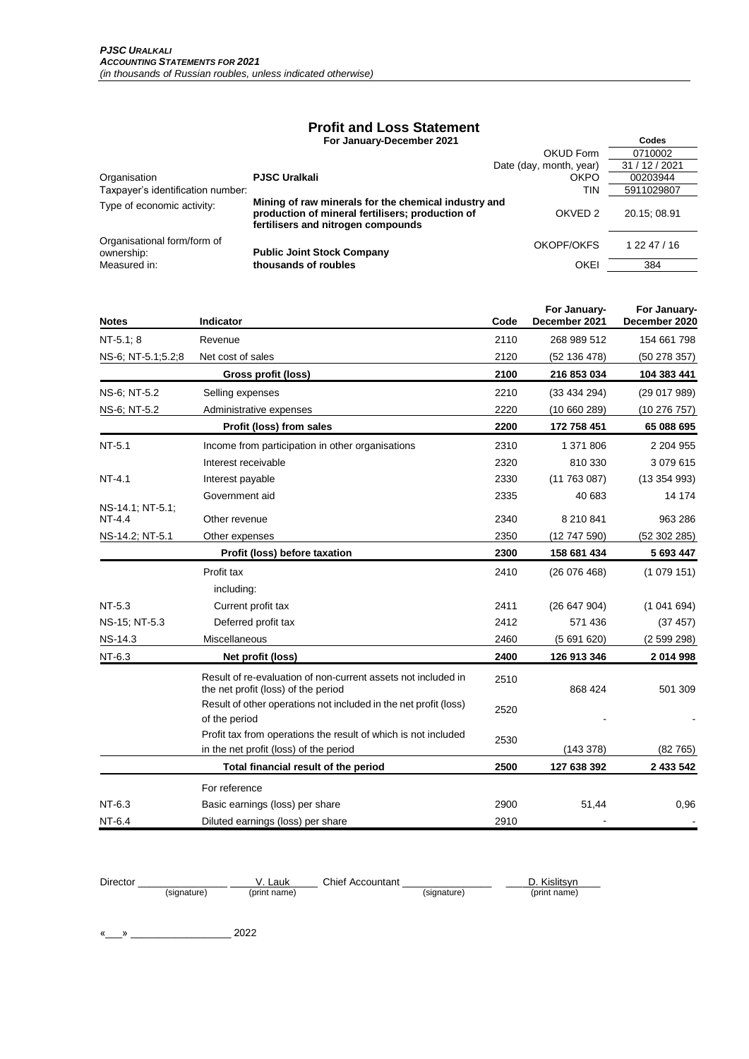## **Profit and Loss Statement**

 **For January-December 2021 Codes**

|                                           | <b>FUI JAINAI V-DECENNEI ZUZ I</b>                                                                                                             |                         | vuuts          |
|-------------------------------------------|------------------------------------------------------------------------------------------------------------------------------------------------|-------------------------|----------------|
|                                           |                                                                                                                                                | <b>OKUD Form</b>        | 0710002        |
|                                           |                                                                                                                                                | Date (day, month, year) | 31 / 12 / 2021 |
| Organisation                              | <b>PJSC Uralkali</b>                                                                                                                           | <b>OKPO</b>             | 00203944       |
| Taxpayer's identification number:         |                                                                                                                                                | TIN                     | 5911029807     |
| Type of economic activity:                | Mining of raw minerals for the chemical industry and<br>production of mineral fertilisers; production of<br>fertilisers and nitrogen compounds | OKVED <sub>2</sub>      | 20.15:08.91    |
| Organisational form/form of<br>ownership: | <b>Public Joint Stock Company</b>                                                                                                              | OKOPF/OKFS              | 1 22 47 / 16   |
| Measured in:                              | thousands of roubles                                                                                                                           | <b>OKEI</b>             | 384            |

| <b>Notes</b>               | Indicator                                                                                            | Code | For January-<br>December 2021 | For January-<br>December 2020 |
|----------------------------|------------------------------------------------------------------------------------------------------|------|-------------------------------|-------------------------------|
| $NT-5.1; 8$                | Revenue                                                                                              | 2110 | 268 989 512                   | 154 661 798                   |
| NS-6; NT-5.1;5.2;8         | Net cost of sales                                                                                    | 2120 | (52 136 478)                  | (50 278 357)                  |
|                            | Gross profit (loss)                                                                                  | 2100 | 216 853 034                   | 104 383 441                   |
| NS-6; NT-5.2               | Selling expenses                                                                                     | 2210 | (33434294)                    | (29 017 989)                  |
| NS-6; NT-5.2               | Administrative expenses                                                                              | 2220 | (10660289)                    | (10 276 757)                  |
|                            | Profit (loss) from sales                                                                             | 2200 | 172 758 451                   | 65 088 695                    |
| NT-5.1                     | Income from participation in other organisations                                                     | 2310 | 1 371 806                     | 2 204 955                     |
|                            | Interest receivable                                                                                  | 2320 | 810 330                       | 3 079 615                     |
| NT-4.1                     | Interest payable                                                                                     | 2330 | (11763087)                    | (13354993)                    |
|                            | Government aid                                                                                       | 2335 | 40 683                        | 14 174                        |
| NS-14.1; NT-5.1;<br>NT-4.4 | Other revenue                                                                                        | 2340 | 8 210 841                     | 963 286                       |
| NS-14.2; NT-5.1            | Other expenses                                                                                       | 2350 | (12747590)                    | (52302285)                    |
|                            | Profit (loss) before taxation                                                                        | 2300 | 158 681 434                   | 5 693 447                     |
|                            | Profit tax                                                                                           | 2410 | (26076468)                    | (1079151)                     |
|                            | including:                                                                                           |      |                               |                               |
| NT-5.3                     | Current profit tax                                                                                   | 2411 | (26647904)                    | (1041694)                     |
| NS-15; NT-5.3              | Deferred profit tax                                                                                  | 2412 | 571 436                       | (37 457)                      |
| <b>NS-14.3</b>             | Miscellaneous                                                                                        | 2460 | (5691620)                     | (2599298)                     |
| NT-6.3                     | Net profit (loss)                                                                                    | 2400 | 126 913 346                   | 2 014 998                     |
|                            | Result of re-evaluation of non-current assets not included in<br>the net profit (loss) of the period | 2510 | 868 424                       | 501 309                       |
|                            | Result of other operations not included in the net profit (loss)<br>of the period                    | 2520 |                               |                               |
|                            | Profit tax from operations the result of which is not included                                       | 2530 |                               |                               |
|                            | in the net profit (loss) of the period                                                               |      | (143378)                      | (82765)                       |
|                            | Total financial result of the period                                                                 | 2500 | 127 638 392                   | 2 433 542                     |
|                            | For reference                                                                                        |      |                               |                               |
| NT-6.3                     | Basic earnings (loss) per share                                                                      | 2900 | 51,44                         | 0,96                          |
| NT-6.4                     | Diluted earnings (loss) per share                                                                    | 2910 |                               |                               |

| Director |             | Lauk         | Chief Accountant |             | D. Kislitsvn |
|----------|-------------|--------------|------------------|-------------|--------------|
|          | (signature) | (print name) |                  | (signature) | (print name) |

«\_\_\_» \_\_\_\_\_\_\_\_\_\_\_\_\_\_\_\_\_\_ 2022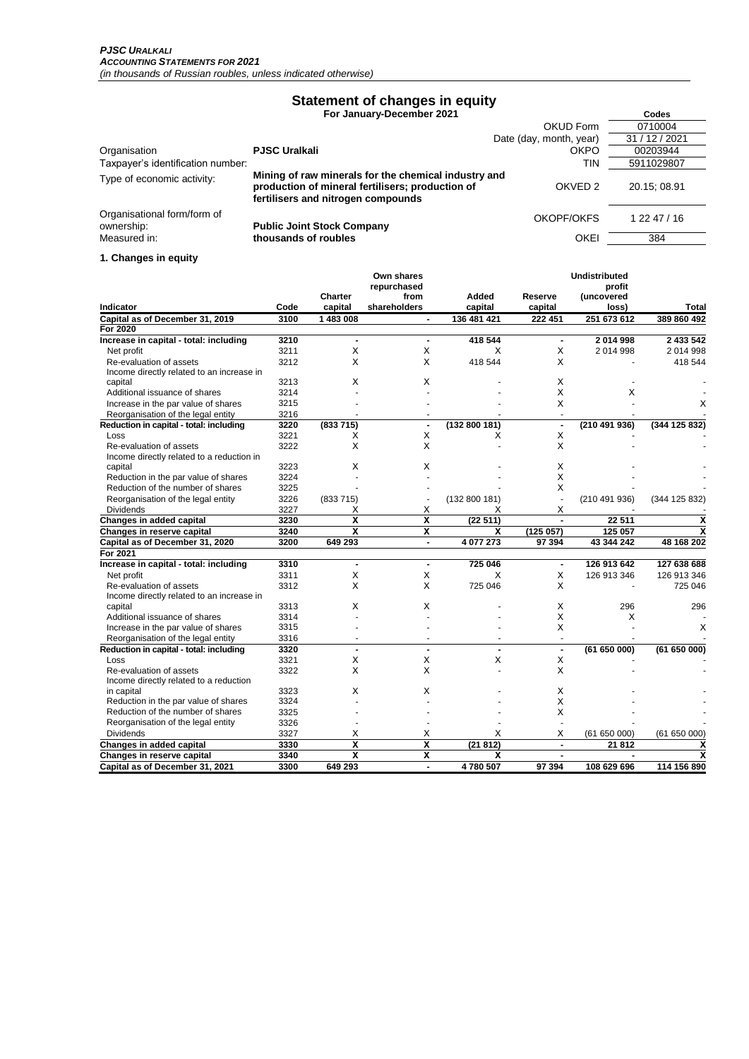# **Statement of changes in equity**

 **For January-December 2021 Codes**

|                                           |                                                                                                                                                | OKUD Form               | 0710004        |
|-------------------------------------------|------------------------------------------------------------------------------------------------------------------------------------------------|-------------------------|----------------|
|                                           |                                                                                                                                                | Date (day, month, year) | 31 / 12 / 2021 |
| Organisation                              | <b>PJSC Uralkali</b>                                                                                                                           | <b>OKPO</b>             | 00203944       |
| Taxpayer's identification number:         |                                                                                                                                                | TIN                     | 5911029807     |
| Type of economic activity:                | Mining of raw minerals for the chemical industry and<br>production of mineral fertilisers; production of<br>fertilisers and nitrogen compounds | OKVED <sub>2</sub>      | 20.15: 08.91   |
| Organisational form/form of<br>ownership: | <b>Public Joint Stock Company</b>                                                                                                              | OKOPF/OKFS              | 1 22 47 / 16   |
| Measured in:                              | thousands of roubles                                                                                                                           | <b>OKEI</b>             | 384            |

#### **1. Changes in equity**

| Indicator                                 | Code         | Charter<br>capital | Own shares<br>repurchased<br>from<br>shareholders | Added<br>capital | Reserve<br>capital | <b>Undistributed</b><br>profit<br>(uncovered<br>loss) | <b>Total</b>  |
|-------------------------------------------|--------------|--------------------|---------------------------------------------------|------------------|--------------------|-------------------------------------------------------|---------------|
| Capital as of December 31, 2019           | 3100         | 1 483 008          | $\overline{a}$                                    | 136 481 421      | 222 451            | 251 673 612                                           | 389 860 492   |
| For 2020                                  |              |                    |                                                   |                  |                    |                                                       |               |
| Increase in capital - total: including    | 3210         | $\overline{a}$     | $\blacksquare$                                    | 418 544          | $\blacksquare$     | 2014998                                               | 2 433 542     |
| Net profit                                | 3211         | X                  | X                                                 | X                | X                  | 2014998                                               | 2014998       |
| Re-evaluation of assets                   | 3212         | X                  | X                                                 | 418 544          | X                  |                                                       | 418 544       |
| Income directly related to an increase in |              |                    |                                                   |                  |                    |                                                       |               |
| capital                                   | 3213         | X                  | X                                                 |                  | X                  |                                                       |               |
| Additional issuance of shares             | 3214         |                    |                                                   |                  | X                  | X                                                     |               |
| Increase in the par value of shares       | 3215         |                    |                                                   |                  | X                  |                                                       | X             |
| Reorganisation of the legal entity        | 3216         |                    |                                                   |                  | $\overline{a}$     |                                                       |               |
| Reduction in capital - total: including   | 3220         | (833715)           | $\blacksquare$                                    | (132 800 181)    | $\blacksquare$     | (210 491 936)                                         | (344 125 832) |
| Loss                                      | 3221         | х                  | X                                                 | х                | X                  |                                                       |               |
| Re-evaluation of assets                   | 3222         | X                  | X                                                 |                  | X                  |                                                       |               |
| Income directly related to a reduction in |              |                    |                                                   |                  |                    |                                                       |               |
| capital                                   | 3223         | х                  | х                                                 |                  | х                  |                                                       |               |
| Reduction in the par value of shares      | 3224         |                    |                                                   |                  | X                  |                                                       |               |
| Reduction of the number of shares         | 3225         |                    |                                                   |                  | X                  |                                                       |               |
| Reorganisation of the legal entity        | 3226         | (833715)           | $\overline{\phantom{a}}$                          | (132 800 181)    | $\overline{a}$     | (210491936)                                           | (344 125 832) |
| <b>Dividends</b>                          | 3227         | х                  | X                                                 | х                | Х                  |                                                       |               |
| Changes in added capital                  | 3230         | X                  | X                                                 | (22511)          |                    | 22 511                                                | X             |
| Changes in reserve capital                | 3240         | X                  | X                                                 | x                | (125 057)          | 125 057                                               | X             |
| Capital as of December 31, 2020           | 3200         | 649 293            | $\blacksquare$                                    | 4 077 273        | 97 394             | 43 344 242                                            | 48 168 202    |
| For 2021                                  |              |                    |                                                   |                  |                    |                                                       |               |
| Increase in capital - total: including    | 3310         | $\overline{a}$     | $\blacksquare$                                    | 725 046          | $\blacksquare$     | 126 913 642                                           | 127 638 688   |
| Net profit                                | 3311         | X                  | X                                                 | X                | X                  | 126 913 346                                           | 126 913 346   |
| Re-evaluation of assets                   | 3312         | X                  | X                                                 | 725 046          | X                  |                                                       | 725 046       |
| Income directly related to an increase in |              |                    |                                                   |                  |                    |                                                       |               |
| capital                                   | 3313         | X                  | х                                                 |                  | X                  | 296                                                   | 296           |
| Additional issuance of shares             | 3314         |                    |                                                   |                  | X                  | X                                                     |               |
| Increase in the par value of shares       | 3315         |                    |                                                   |                  | X                  |                                                       | х             |
| Reorganisation of the legal entity        | 3316         |                    |                                                   |                  | ä,                 |                                                       |               |
| Reduction in capital - total: including   | 3320         | X                  | X                                                 | X                | $\blacksquare$     | (61 650 000)                                          | (61 650 000)  |
| Loss<br>Re-evaluation of assets           | 3321<br>3322 | X                  | X                                                 |                  | Х<br>X             |                                                       |               |
| Income directly related to a reduction    |              |                    |                                                   |                  |                    |                                                       |               |
| in capital                                | 3323         | X                  | х                                                 |                  | X                  |                                                       |               |
| Reduction in the par value of shares      | 3324         |                    |                                                   |                  | X                  |                                                       |               |
| Reduction of the number of shares         | 3325         |                    |                                                   |                  | X                  |                                                       |               |
| Reorganisation of the legal entity        | 3326         |                    |                                                   |                  | ÷.                 |                                                       |               |
| Dividends                                 | 3327         | Χ                  | х                                                 | х                | х                  | (61650000)                                            | (61650000)    |
| Changes in added capital                  | 3330         | X                  | X                                                 | (21812)          | $\blacksquare$     | 21812                                                 | х             |
| Changes in reserve capital                | 3340         | $\boldsymbol{x}$   | X                                                 | X                | $\blacksquare$     | $\blacksquare$                                        | X             |
| Capital as of December 31, 2021           | 3300         | 649 293            | $\blacksquare$                                    | 4780507          | 97 394             | 108 629 696                                           | 114 156 890   |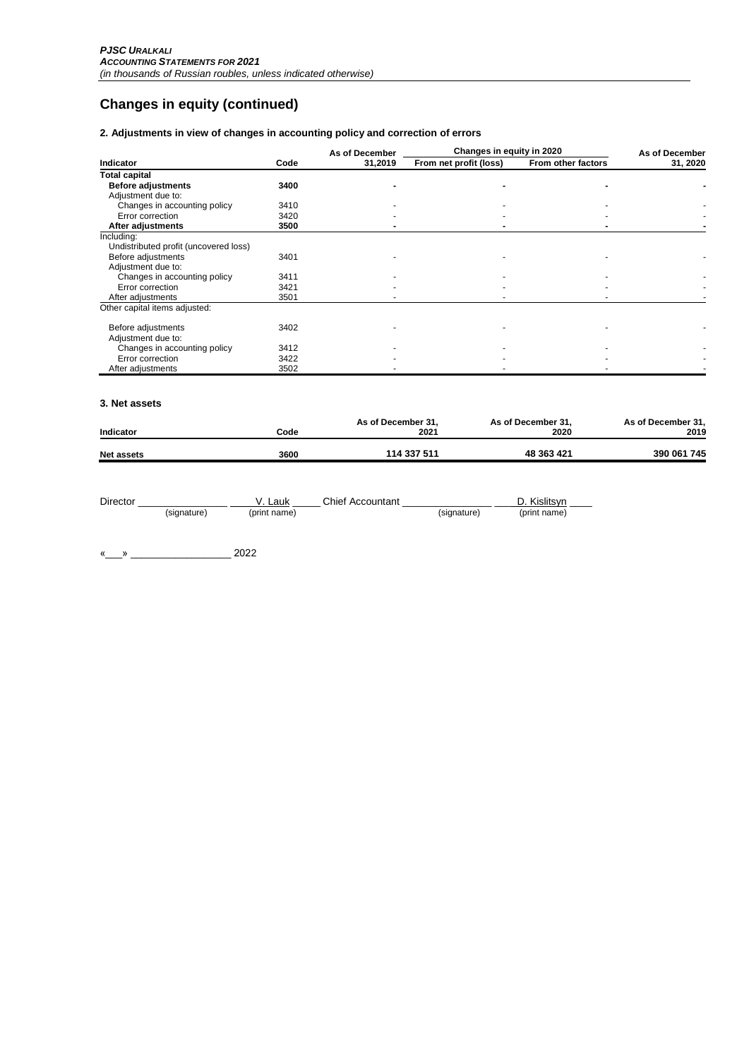# **Changes in equity (continued)**

### **2. Adjustments in view of changes in accounting policy and correction of errors**

|                                       |      | As of December | Changes in equity in 2020 | As of December     |          |
|---------------------------------------|------|----------------|---------------------------|--------------------|----------|
| Indicator                             | Code | 31,2019        | From net profit (loss)    | From other factors | 31, 2020 |
| <b>Total capital</b>                  |      |                |                           |                    |          |
| <b>Before adjustments</b>             | 3400 |                |                           |                    |          |
| Adjustment due to:                    |      |                |                           |                    |          |
| Changes in accounting policy          | 3410 |                |                           |                    |          |
| Error correction                      | 3420 |                |                           |                    |          |
| After adjustments                     | 3500 |                |                           |                    |          |
| Including:                            |      |                |                           |                    |          |
| Undistributed profit (uncovered loss) |      |                |                           |                    |          |
| Before adjustments                    | 3401 |                |                           |                    |          |
| Adjustment due to:                    |      |                |                           |                    |          |
| Changes in accounting policy          | 3411 |                |                           |                    |          |
| Error correction                      | 3421 |                |                           |                    |          |
| After adjustments                     | 3501 |                |                           |                    |          |
| Other capital items adjusted:         |      |                |                           |                    |          |
| Before adjustments                    | 3402 |                |                           |                    |          |
| Adjustment due to:                    |      |                |                           |                    |          |
| Changes in accounting policy          | 3412 |                |                           |                    |          |
| Error correction                      | 3422 |                |                           |                    |          |
| After adjustments                     | 3502 |                |                           |                    |          |

#### **3. Net assets**

| Indicator         | Code | As of December 31.<br>2021 | As of December 31.<br>2020 | As of December 31,<br>2019 |
|-------------------|------|----------------------------|----------------------------|----------------------------|
| <b>Net assets</b> | 3600 | 114 337 511                | 48 363 421                 | 390 061 745                |

| Director |             | Lauk         | <b>Chief Accountant</b> |             | Kislitsvn    |
|----------|-------------|--------------|-------------------------|-------------|--------------|
|          | (signature) | (print name) |                         | (signature) | (print name) |

«\_\_\_» \_\_\_\_\_\_\_\_\_\_\_\_\_\_\_\_\_\_ 2022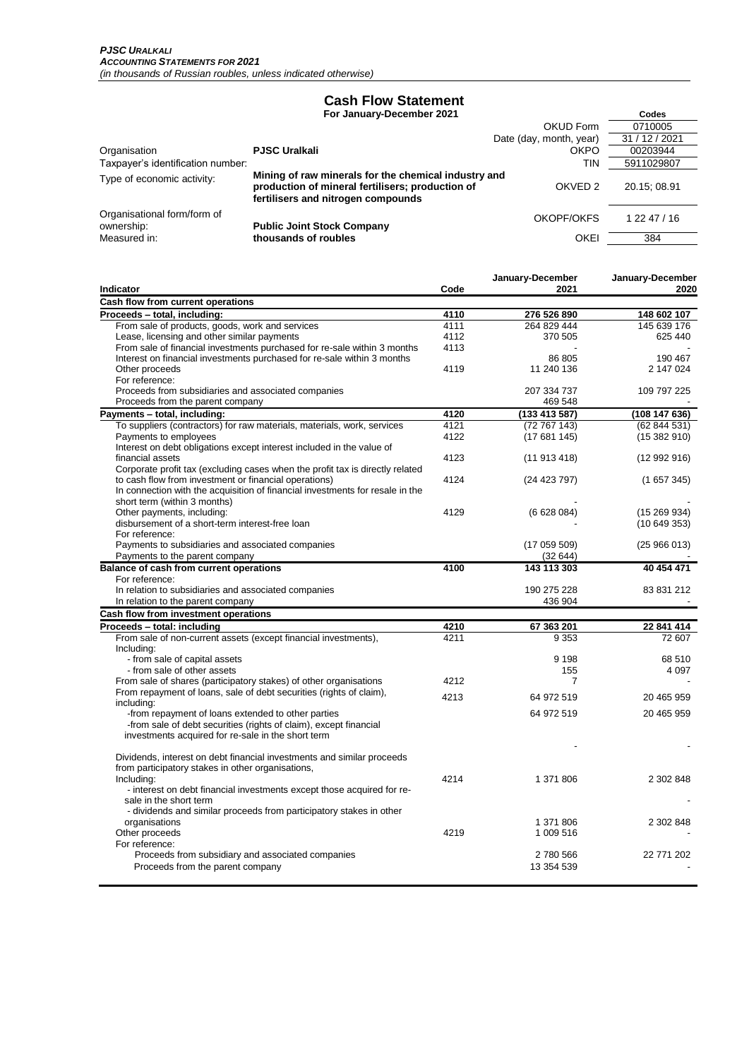### **Cash Flow Statement**

 **For January-December 2021 Codes**

|                                           |                                                                                                                                                | OKUD Form               | 0710005        |
|-------------------------------------------|------------------------------------------------------------------------------------------------------------------------------------------------|-------------------------|----------------|
|                                           |                                                                                                                                                | Date (day, month, year) | 31 / 12 / 2021 |
| Organisation                              | <b>PJSC Uralkali</b>                                                                                                                           | <b>OKPO</b>             | 00203944       |
| Taxpayer's identification number:         |                                                                                                                                                | TIN                     | 5911029807     |
| Type of economic activity:                | Mining of raw minerals for the chemical industry and<br>production of mineral fertilisers; production of<br>fertilisers and nitrogen compounds | OKVED <sub>2</sub>      | 20.15; 08.91   |
| Organisational form/form of<br>ownership: | <b>Public Joint Stock Company</b>                                                                                                              | OKOPF/OKFS              | 1 22 47 / 16   |
| Measured in:                              | thousands of roubles                                                                                                                           | OKEI                    | 384            |

|                                                                               |      | January-December | January-December |
|-------------------------------------------------------------------------------|------|------------------|------------------|
| Indicator                                                                     | Code | 2021             | 2020             |
| Cash flow from current operations                                             |      |                  |                  |
| Proceeds - total, including:                                                  | 4110 | 276 526 890      | 148 602 107      |
| From sale of products, goods, work and services                               | 4111 | 264 829 444      | 145 639 176      |
| Lease, licensing and other similar payments                                   | 4112 | 370 505          | 625 440          |
| From sale of financial investments purchased for re-sale within 3 months      | 4113 |                  |                  |
| Interest on financial investments purchased for re-sale within 3 months       |      | 86 805           | 190 467          |
| Other proceeds                                                                | 4119 | 11 240 136       | 2 147 024        |
| For reference:                                                                |      |                  |                  |
| Proceeds from subsidiaries and associated companies                           |      | 207 334 737      | 109 797 225      |
| Proceeds from the parent company                                              |      | 469 548          |                  |
| Payments - total, including:                                                  | 4120 | (133 413 587)    | (108147636)      |
| To suppliers (contractors) for raw materials, materials, work, services       | 4121 | (72767143)       | (62844531)       |
| Payments to employees                                                         | 4122 | (17681145)       | (15382910)       |
| Interest on debt obligations except interest included in the value of         |      |                  |                  |
| financial assets                                                              | 4123 | (11913418)       | (12992916)       |
| Corporate profit tax (excluding cases when the profit tax is directly related |      |                  |                  |
| to cash flow from investment or financial operations)                         | 4124 | (24 423 797)     | (1657345)        |
| In connection with the acquisition of financial investments for resale in the |      |                  |                  |
| short term (within 3 months)                                                  |      |                  |                  |
| Other payments, including:<br>disbursement of a short-term interest-free loan | 4129 | (6628084)        | (15 269 934)     |
| For reference:                                                                |      |                  | (10649353)       |
| Payments to subsidiaries and associated companies                             |      | (17 059 509)     | (25966013)       |
| Payments to the parent company                                                |      | (32644)          |                  |
| Balance of cash from current operations                                       | 4100 | 143 113 303      | 40 454 471       |
| For reference:                                                                |      |                  |                  |
| In relation to subsidiaries and associated companies                          |      | 190 275 228      | 83 831 212       |
| In relation to the parent company                                             |      | 436 904          |                  |
| Cash flow from investment operations                                          |      |                  |                  |
| Proceeds - total: including                                                   | 4210 | 67 363 201       | 22 841 414       |
| From sale of non-current assets (except financial investments),               | 4211 | 9 3 5 3          | 72 607           |
| Including:                                                                    |      |                  |                  |
| - from sale of capital assets                                                 |      | 9 1 9 8          | 68 510           |
| - from sale of other assets                                                   |      | 155              | 4 0 9 7          |
| From sale of shares (participatory stakes) of other organisations             | 4212 | 7                |                  |
| From repayment of loans, sale of debt securities (rights of claim),           |      |                  |                  |
| including:                                                                    | 4213 | 64 972 519       | 20 465 959       |
| -from repayment of loans extended to other parties                            |      | 64 972 519       | 20 465 959       |
| -from sale of debt securities (rights of claim), except financial             |      |                  |                  |
| investments acquired for re-sale in the short term                            |      |                  |                  |
|                                                                               |      |                  |                  |
| Dividends, interest on debt financial investments and similar proceeds        |      |                  |                  |
| from participatory stakes in other organisations,                             |      |                  |                  |
| Including:                                                                    | 4214 | 1 371 806        | 2 302 848        |
| - interest on debt financial investments except those acquired for re-        |      |                  |                  |
| sale in the short term                                                        |      |                  |                  |
| - dividends and similar proceeds from participatory stakes in other           |      |                  |                  |
| organisations                                                                 |      | 1 371 806        | 2 302 848        |
| Other proceeds                                                                | 4219 | 1 009 516        |                  |
| For reference:                                                                |      |                  |                  |
| Proceeds from subsidiary and associated companies                             |      | 2 780 566        | 22 771 202       |
| Proceeds from the parent company                                              |      | 13 354 539       |                  |
|                                                                               |      |                  |                  |